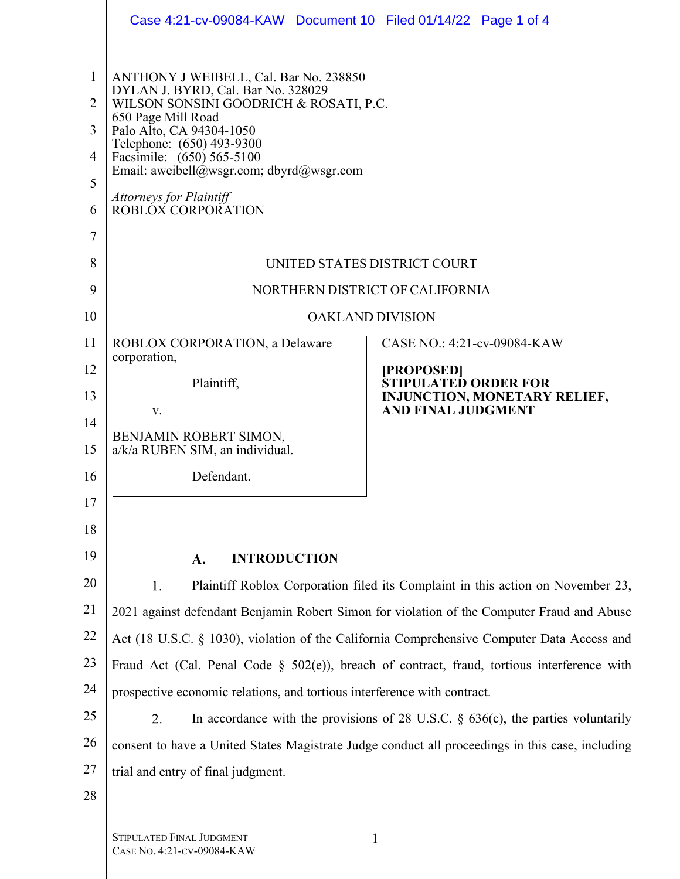|                            | Case 4:21-cv-09084-KAW Document 10 Filed 01/14/22 Page 1 of 4                                                                                                                                                                                                                                                                          |                                                                                                                                       |  |
|----------------------------|----------------------------------------------------------------------------------------------------------------------------------------------------------------------------------------------------------------------------------------------------------------------------------------------------------------------------------------|---------------------------------------------------------------------------------------------------------------------------------------|--|
| 1<br>2<br>3<br>4<br>5<br>6 | ANTHONY J WEIBELL, Cal. Bar No. 238850<br>DYLAN J. BYRD, Cal. Bar No. 328029<br>WILSON SONSINI GOODRICH & ROSATI, P.C.<br>650 Page Mill Road<br>Palo Alto, CA 94304-1050<br>Telephone: (650) 493-9300<br>Facsimile: (650) 565-5100<br>Email: aweibell@wsgr.com; dbyrd@wsgr.com<br><b>Attorneys for Plaintiff</b><br>ROBLOX CORPORATION |                                                                                                                                       |  |
| 7<br>8                     |                                                                                                                                                                                                                                                                                                                                        | UNITED STATES DISTRICT COURT                                                                                                          |  |
| 9                          | NORTHERN DISTRICT OF CALIFORNIA                                                                                                                                                                                                                                                                                                        |                                                                                                                                       |  |
| 10                         | <b>OAKLAND DIVISION</b>                                                                                                                                                                                                                                                                                                                |                                                                                                                                       |  |
| 11<br>12<br>13<br>14       | ROBLOX CORPORATION, a Delaware<br>corporation,<br>Plaintiff,<br>V.                                                                                                                                                                                                                                                                     | CASE NO.: 4:21-cv-09084-KAW<br>[PROPOSED]<br><b>STIPULATED ORDER FOR</b><br>INJUNCTION, MONETARY RELIEF,<br><b>AND FINAL JUDGMENT</b> |  |
| 15                         | BENJAMIN ROBERT SIMON,<br>a/k/a RUBEN SIM, an individual.                                                                                                                                                                                                                                                                              |                                                                                                                                       |  |
| 16                         | Defendant.                                                                                                                                                                                                                                                                                                                             |                                                                                                                                       |  |
| 17                         |                                                                                                                                                                                                                                                                                                                                        |                                                                                                                                       |  |
| 18                         |                                                                                                                                                                                                                                                                                                                                        |                                                                                                                                       |  |
| 19                         | <b>INTRODUCTION</b><br>A.                                                                                                                                                                                                                                                                                                              |                                                                                                                                       |  |
| 20                         | 1.<br>Plaintiff Roblox Corporation filed its Complaint in this action on November 23,                                                                                                                                                                                                                                                  |                                                                                                                                       |  |
| 21                         | 2021 against defendant Benjamin Robert Simon for violation of the Computer Fraud and Abuse                                                                                                                                                                                                                                             |                                                                                                                                       |  |
| 22                         | Act (18 U.S.C. § 1030), violation of the California Comprehensive Computer Data Access and                                                                                                                                                                                                                                             |                                                                                                                                       |  |
| 23                         | Fraud Act (Cal. Penal Code § 502(e)), breach of contract, fraud, tortious interference with                                                                                                                                                                                                                                            |                                                                                                                                       |  |
| 24                         | prospective economic relations, and tortious interference with contract.                                                                                                                                                                                                                                                               |                                                                                                                                       |  |
| 25                         | 2.                                                                                                                                                                                                                                                                                                                                     | In accordance with the provisions of 28 U.S.C. $\S$ 636(c), the parties voluntarily                                                   |  |
| 26                         | consent to have a United States Magistrate Judge conduct all proceedings in this case, including                                                                                                                                                                                                                                       |                                                                                                                                       |  |
| 27                         | trial and entry of final judgment.                                                                                                                                                                                                                                                                                                     |                                                                                                                                       |  |
| 28                         |                                                                                                                                                                                                                                                                                                                                        |                                                                                                                                       |  |
|                            |                                                                                                                                                                                                                                                                                                                                        |                                                                                                                                       |  |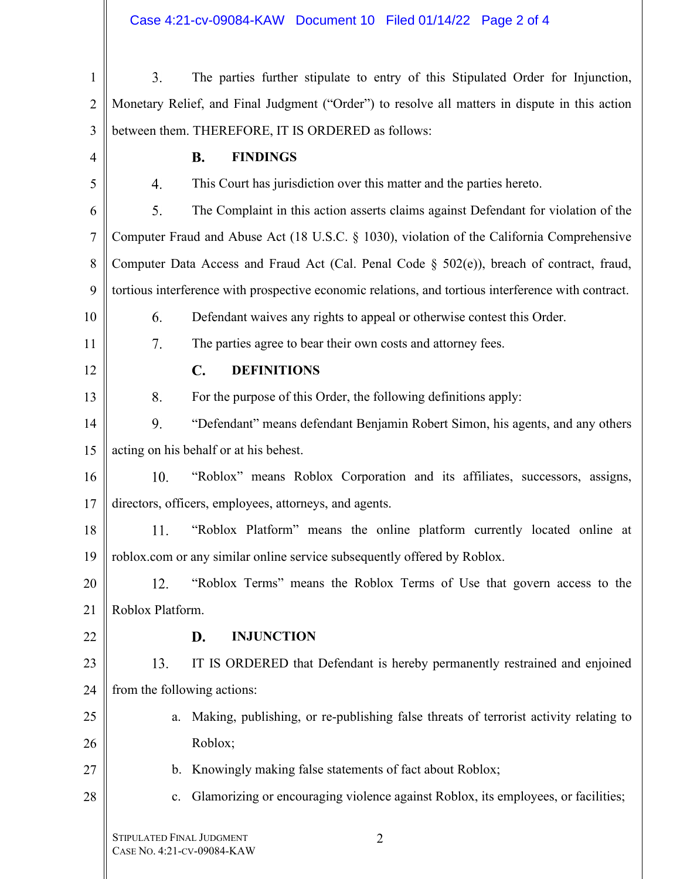| $\mathbf{1}$   | 3.                                                                                                  | The parties further stipulate to entry of this Stipulated Order for Injunction,                |
|----------------|-----------------------------------------------------------------------------------------------------|------------------------------------------------------------------------------------------------|
| $\overline{2}$ |                                                                                                     | Monetary Relief, and Final Judgment ("Order") to resolve all matters in dispute in this action |
| 3              |                                                                                                     | between them. THEREFORE, IT IS ORDERED as follows:                                             |
| 4              |                                                                                                     | <b>FINDINGS</b><br><b>B.</b>                                                                   |
| 5              | 4.                                                                                                  | This Court has jurisdiction over this matter and the parties hereto.                           |
| 6              | 5.                                                                                                  | The Complaint in this action asserts claims against Defendant for violation of the             |
| 7              | Computer Fraud and Abuse Act (18 U.S.C. § 1030), violation of the California Comprehensive          |                                                                                                |
| 8              | Computer Data Access and Fraud Act (Cal. Penal Code § 502(e)), breach of contract, fraud,           |                                                                                                |
| 9              | tortious interference with prospective economic relations, and tortious interference with contract. |                                                                                                |
| 10             | 6.                                                                                                  | Defendant waives any rights to appeal or otherwise contest this Order.                         |
| 11             | 7.                                                                                                  | The parties agree to bear their own costs and attorney fees.                                   |
| 12             |                                                                                                     | $\mathbf{C}$ .<br><b>DEFINITIONS</b>                                                           |
| 13             | 8.                                                                                                  | For the purpose of this Order, the following definitions apply:                                |
| 14             | 9.                                                                                                  | "Defendant" means defendant Benjamin Robert Simon, his agents, and any others                  |
| 15             | acting on his behalf or at his behest.                                                              |                                                                                                |
| 16             | 10.                                                                                                 | "Roblox" means Roblox Corporation and its affiliates, successors, assigns,                     |
| 17             | directors, officers, employees, attorneys, and agents.                                              |                                                                                                |
| 18             | 11.                                                                                                 | "Roblox Platform" means the online platform currently located online at                        |
| 19             | roblox.com or any similar online service subsequently offered by Roblox.                            |                                                                                                |
| 20             | 12.                                                                                                 | "Roblox Terms" means the Roblox Terms of Use that govern access to the                         |
| 21             | Roblox Platform.                                                                                    |                                                                                                |
| 22             |                                                                                                     | <b>INJUNCTION</b><br>D.                                                                        |
| 23             | 13.                                                                                                 | IT IS ORDERED that Defendant is hereby permanently restrained and enjoined                     |
| 24             | from the following actions:                                                                         |                                                                                                |
| 25             | a.                                                                                                  | Making, publishing, or re-publishing false threats of terrorist activity relating to           |
| 26             |                                                                                                     | Roblox;                                                                                        |
| 27             | $\mathbf{b}$ .                                                                                      | Knowingly making false statements of fact about Roblox;                                        |
| 28             | c.                                                                                                  | Glamorizing or encouraging violence against Roblox, its employees, or facilities;              |
|                | STIPULATED FINAL JUDGMENT                                                                           | $\overline{2}$                                                                                 |

 $\mathbb{I}$ 

Ш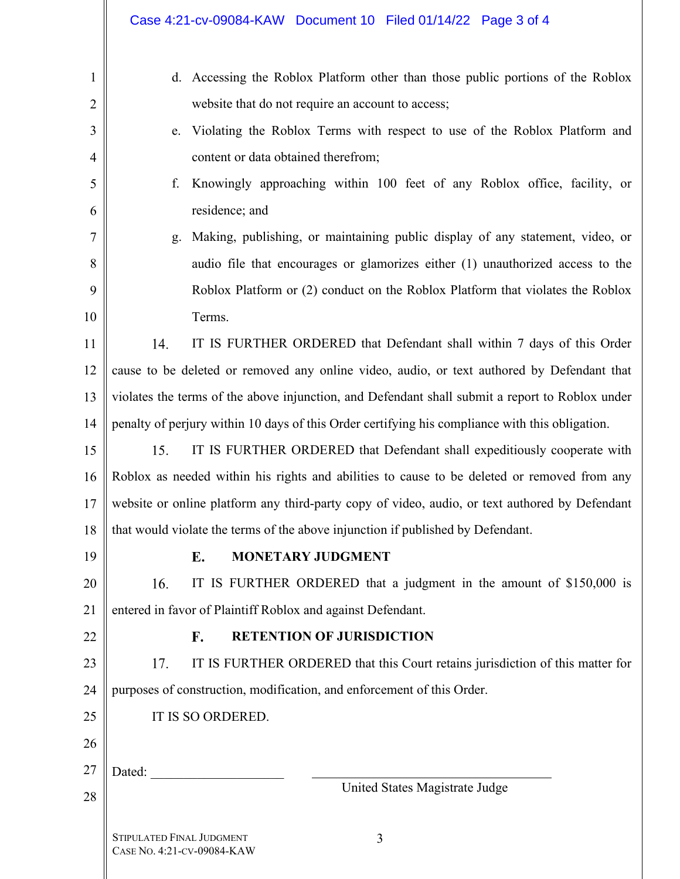|                | Case 4:21-cv-09084-KAW Document 10 Filed 01/14/22 Page 3 of 4                                   |  |  |
|----------------|-------------------------------------------------------------------------------------------------|--|--|
| $\mathbf{1}$   | d. Accessing the Roblox Platform other than those public portions of the Roblox                 |  |  |
| $\overline{2}$ | website that do not require an account to access;                                               |  |  |
| 3              | Violating the Roblox Terms with respect to use of the Roblox Platform and<br>e.                 |  |  |
| $\overline{4}$ | content or data obtained therefrom;                                                             |  |  |
| 5              | Knowingly approaching within 100 feet of any Roblox office, facility, or<br>f.                  |  |  |
| 6              | residence; and                                                                                  |  |  |
| 7              | Making, publishing, or maintaining public display of any statement, video, or<br>g.             |  |  |
| 8              | audio file that encourages or glamorizes either (1) unauthorized access to the                  |  |  |
| 9              | Roblox Platform or (2) conduct on the Roblox Platform that violates the Roblox                  |  |  |
| 10             | Terms.                                                                                          |  |  |
| 11             | IT IS FURTHER ORDERED that Defendant shall within 7 days of this Order<br>14.                   |  |  |
| 12             | cause to be deleted or removed any online video, audio, or text authored by Defendant that      |  |  |
| 13             | violates the terms of the above injunction, and Defendant shall submit a report to Roblox under |  |  |
| 14             | penalty of perjury within 10 days of this Order certifying his compliance with this obligation. |  |  |
| 15             | 15.<br>IT IS FURTHER ORDERED that Defendant shall expeditiously cooperate with                  |  |  |
| 16             | Roblox as needed within his rights and abilities to cause to be deleted or removed from any     |  |  |
| 17             | website or online platform any third-party copy of video, audio, or text authored by Defendant  |  |  |
| 18             | that would violate the terms of the above injunction if published by Defendant.                 |  |  |
| 19             | <b>MONETARY JUDGMENT</b><br>E.                                                                  |  |  |
| 20             | 16.<br>IT IS FURTHER ORDERED that a judgment in the amount of \$150,000 is                      |  |  |
| 21             | entered in favor of Plaintiff Roblox and against Defendant.                                     |  |  |
| 22             | <b>RETENTION OF JURISDICTION</b><br>F.                                                          |  |  |
| 23             | 17.<br>IT IS FURTHER ORDERED that this Court retains jurisdiction of this matter for            |  |  |
| 24             | purposes of construction, modification, and enforcement of this Order.                          |  |  |
| 25             | IT IS SO ORDERED.                                                                               |  |  |
| 26             |                                                                                                 |  |  |
| 27             | Dated:                                                                                          |  |  |
| 28             | United States Magistrate Judge                                                                  |  |  |
|                | <b>STIPULATED FINAL JUDGMENT</b><br>3<br>CASE No. 4:21-CV-09084-KAW                             |  |  |

 $\mathbb I$